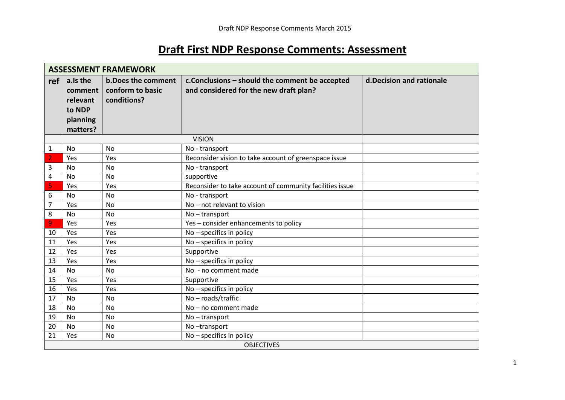# **Draft First NDP Response Comments: Assessment**

|                | <b>ASSESSMENT FRAMEWORK</b> |                           |                                                          |                           |  |  |  |
|----------------|-----------------------------|---------------------------|----------------------------------------------------------|---------------------------|--|--|--|
| ref            | a.Is the                    | <b>b.Does the comment</b> | c. Conclusions - should the comment be accepted          | d. Decision and rationale |  |  |  |
|                | comment                     | conform to basic          | and considered for the new draft plan?                   |                           |  |  |  |
|                | relevant                    | conditions?               |                                                          |                           |  |  |  |
|                | to NDP                      |                           |                                                          |                           |  |  |  |
|                | planning                    |                           |                                                          |                           |  |  |  |
|                | matters?                    |                           |                                                          |                           |  |  |  |
|                |                             |                           | <b>VISION</b>                                            |                           |  |  |  |
| 1              | <b>No</b>                   | No                        | No - transport                                           |                           |  |  |  |
| $\overline{2}$ | Yes                         | Yes                       | Reconsider vision to take account of greenspace issue    |                           |  |  |  |
| 3              | No                          | No                        | No - transport                                           |                           |  |  |  |
| 4              | <b>No</b>                   | No                        | supportive                                               |                           |  |  |  |
| 5              | Yes                         | Yes                       | Reconsider to take account of community facilities issue |                           |  |  |  |
| 6              | <b>No</b>                   | <b>No</b>                 | No - transport                                           |                           |  |  |  |
| 7              | Yes                         | <b>No</b>                 | No - not relevant to vision                              |                           |  |  |  |
| 8              | <b>No</b>                   | No                        | No-transport                                             |                           |  |  |  |
| 9              | Yes                         | Yes                       | Yes - consider enhancements to policy                    |                           |  |  |  |
| 10             | Yes                         | Yes                       | No - specifics in policy                                 |                           |  |  |  |
| 11             | Yes                         | Yes                       | No - specifics in policy                                 |                           |  |  |  |
| 12             | Yes                         | Yes                       | Supportive                                               |                           |  |  |  |
| 13             | Yes                         | Yes                       | No - specifics in policy                                 |                           |  |  |  |
| 14             | <b>No</b>                   | <b>No</b>                 | No - no comment made                                     |                           |  |  |  |
| 15             | Yes                         | Yes                       | Supportive                                               |                           |  |  |  |
| 16             | Yes                         | Yes                       | No - specifics in policy                                 |                           |  |  |  |
| 17             | N <sub>o</sub>              | No                        | No-roads/traffic                                         |                           |  |  |  |
| 18             | No                          | <b>No</b>                 | No - no comment made                                     |                           |  |  |  |
| 19             | <b>No</b>                   | <b>No</b>                 | No-transport                                             |                           |  |  |  |
| 20             | <b>No</b>                   | <b>No</b>                 | No-transport                                             |                           |  |  |  |
| 21             | Yes                         | <b>No</b>                 | No - specifics in policy                                 |                           |  |  |  |
|                | <b>OBJECTIVES</b>           |                           |                                                          |                           |  |  |  |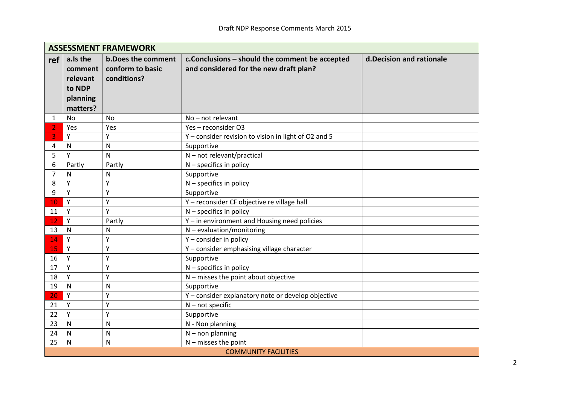|     | <b>ASSESSMENT FRAMEWORK</b>                                       |                                                              |                                                                                           |                           |  |  |  |
|-----|-------------------------------------------------------------------|--------------------------------------------------------------|-------------------------------------------------------------------------------------------|---------------------------|--|--|--|
| ref | a.Is the<br>comment<br>relevant<br>to NDP<br>planning<br>matters? | <b>b.Does the comment</b><br>conform to basic<br>conditions? | c. Conclusions - should the comment be accepted<br>and considered for the new draft plan? | d. Decision and rationale |  |  |  |
| 1   | <b>No</b>                                                         | <b>No</b>                                                    | No - not relevant                                                                         |                           |  |  |  |
| 2   | Yes                                                               | Yes                                                          | Yes-reconsider O3                                                                         |                           |  |  |  |
| 3   | Y                                                                 | Y                                                            | Y - consider revision to vision in light of O2 and 5                                      |                           |  |  |  |
| 4   | N                                                                 | N                                                            | Supportive                                                                                |                           |  |  |  |
| 5   | Y                                                                 | N                                                            | $N$ – not relevant/practical                                                              |                           |  |  |  |
| 6   | Partly                                                            | Partly                                                       | $N$ – specifics in policy                                                                 |                           |  |  |  |
| 7   | N                                                                 | N                                                            | Supportive                                                                                |                           |  |  |  |
| 8   | Y                                                                 | Y                                                            | $N$ – specifics in policy                                                                 |                           |  |  |  |
| 9   | Y                                                                 | Y                                                            | Supportive                                                                                |                           |  |  |  |
| 10  | Y                                                                 | Y                                                            | Y - reconsider CF objective re village hall                                               |                           |  |  |  |
| 11  | Y                                                                 | Y                                                            | $N$ – specifics in policy                                                                 |                           |  |  |  |
| 12  | Y                                                                 | Partly                                                       | Y - in environment and Housing need policies                                              |                           |  |  |  |
| 13  | N                                                                 | N                                                            | $N$ – evaluation/monitoring                                                               |                           |  |  |  |
| 14  | Y                                                                 | Y                                                            | Y - consider in policy                                                                    |                           |  |  |  |
| 15  | Y                                                                 | Y                                                            | Y - consider emphasising village character                                                |                           |  |  |  |
| 16  | Y                                                                 | Y                                                            | Supportive                                                                                |                           |  |  |  |
| 17  | Y                                                                 | Y                                                            | $N$ – specifics in policy                                                                 |                           |  |  |  |
| 18  | Y                                                                 | Y                                                            | N - misses the point about objective                                                      |                           |  |  |  |
| 19  | N                                                                 | N                                                            | Supportive                                                                                |                           |  |  |  |
| 20  | Y                                                                 | Y                                                            | Y - consider explanatory note or develop objective                                        |                           |  |  |  |
| 21  | Y                                                                 | Y                                                            | $N$ – not specific                                                                        |                           |  |  |  |
| 22  | Y                                                                 | Y                                                            | Supportive                                                                                |                           |  |  |  |
| 23  | N                                                                 | N                                                            | N - Non planning                                                                          |                           |  |  |  |
| 24  | N                                                                 | N                                                            | $N -$ non planning                                                                        |                           |  |  |  |
| 25  | N                                                                 | N                                                            | $N$ – misses the point                                                                    |                           |  |  |  |
|     | <b>COMMUNITY FACILITIES</b>                                       |                                                              |                                                                                           |                           |  |  |  |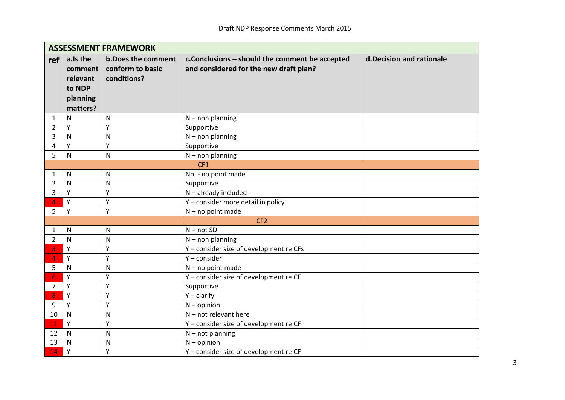|                | <b>ASSESSMENT FRAMEWORK</b>                                       |                                                              |                                                                                           |                          |  |  |
|----------------|-------------------------------------------------------------------|--------------------------------------------------------------|-------------------------------------------------------------------------------------------|--------------------------|--|--|
| ref            | a.Is the<br>comment<br>relevant<br>to NDP<br>planning<br>matters? | <b>b.Does the comment</b><br>conform to basic<br>conditions? | c. Conclusions - should the comment be accepted<br>and considered for the new draft plan? | d.Decision and rationale |  |  |
| 1              | N                                                                 | $\mathsf{N}$                                                 | $N -$ non planning                                                                        |                          |  |  |
| $\overline{2}$ | Y                                                                 | Y                                                            | Supportive                                                                                |                          |  |  |
| 3              | $\mathsf{N}$                                                      | $\mathsf{N}$                                                 | $N -$ non planning                                                                        |                          |  |  |
| 4              | Y                                                                 | Y                                                            | Supportive                                                                                |                          |  |  |
| 5              | $\mathsf{N}$                                                      | N                                                            | $N -$ non planning                                                                        |                          |  |  |
|                |                                                                   |                                                              | CF1                                                                                       |                          |  |  |
| 1              | N                                                                 | N                                                            | No - no point made                                                                        |                          |  |  |
| $\overline{2}$ | $\mathsf{N}$                                                      | $\mathsf{N}$                                                 | Supportive                                                                                |                          |  |  |
| 3              | Y                                                                 | Y                                                            | $N$ – already included                                                                    |                          |  |  |
| 4              | Y                                                                 | Y                                                            | Y - consider more detail in policy                                                        |                          |  |  |
| 5              | Y                                                                 | Y                                                            | $N - no$ point made                                                                       |                          |  |  |
|                |                                                                   |                                                              | CF <sub>2</sub>                                                                           |                          |  |  |
| 1              | $\mathsf{N}$                                                      | N                                                            | $N - not SD$                                                                              |                          |  |  |
| $\overline{2}$ | N                                                                 | N                                                            | $N -$ non planning                                                                        |                          |  |  |
| 3              | Y                                                                 | Y                                                            | Y - consider size of development re CFs                                                   |                          |  |  |
| 4              | Y                                                                 | Υ                                                            | $Y$ – consider                                                                            |                          |  |  |
| 5              | $\mathsf{N}$                                                      | N                                                            | $N - no$ point made                                                                       |                          |  |  |
| 6              | Y                                                                 | Y                                                            | Y - consider size of development re CF                                                    |                          |  |  |
| 7              | Y                                                                 | Y                                                            | Supportive                                                                                |                          |  |  |
| 8              | Y                                                                 | Y                                                            | $Y -$ clarify                                                                             |                          |  |  |
| 9              | Y                                                                 | Y                                                            | $N -$ opinion                                                                             |                          |  |  |
| 10             | $\mathsf{N}$                                                      | $\mathsf{N}$                                                 | $N$ – not relevant here                                                                   |                          |  |  |
| 11             | Y                                                                 | Y                                                            | Y - consider size of development re CF                                                    |                          |  |  |
| 12             | $\mathsf{N}$                                                      | N                                                            | $N - not planning$                                                                        |                          |  |  |
| 13             | $\mathsf{N}$                                                      | N                                                            | $N -$ opinion                                                                             |                          |  |  |
| 14             | Y                                                                 | Y                                                            | Y - consider size of development re CF                                                    |                          |  |  |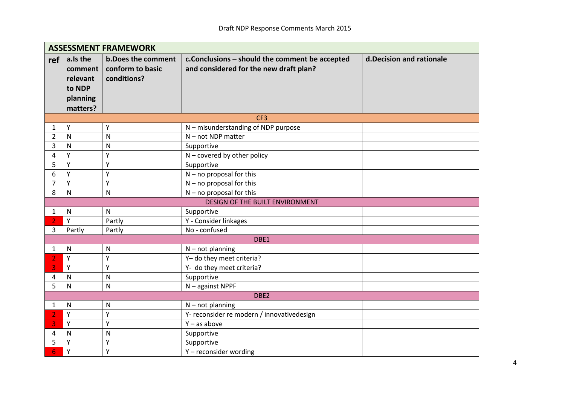|              | <b>ASSESSMENT FRAMEWORK</b>                                       |                                                              |                                                                                          |                           |  |  |
|--------------|-------------------------------------------------------------------|--------------------------------------------------------------|------------------------------------------------------------------------------------------|---------------------------|--|--|
| ref          | a.Is the<br>comment<br>relevant<br>to NDP<br>planning<br>matters? | <b>b.Does the comment</b><br>conform to basic<br>conditions? | c.Conclusions - should the comment be accepted<br>and considered for the new draft plan? | d. Decision and rationale |  |  |
|              |                                                                   |                                                              | CF <sub>3</sub>                                                                          |                           |  |  |
| 1            | Y                                                                 | Υ                                                            | N - misunderstanding of NDP purpose                                                      |                           |  |  |
| 2            | $\mathsf{N}$                                                      | N                                                            | $N$ – not NDP matter                                                                     |                           |  |  |
| 3            | $\mathsf{N}$                                                      | N                                                            | Supportive                                                                               |                           |  |  |
| 4            | Y                                                                 | Y                                                            | $N$ – covered by other policy                                                            |                           |  |  |
| 5            | Y                                                                 | Y                                                            | Supportive                                                                               |                           |  |  |
| 6            | Y                                                                 | Y                                                            | $N - no$ proposal for this                                                               |                           |  |  |
| 7            | Y                                                                 | Y                                                            | $N - no$ proposal for this                                                               |                           |  |  |
| 8            | N                                                                 | N                                                            | $N - no$ proposal for this                                                               |                           |  |  |
|              |                                                                   |                                                              | DESIGN OF THE BUILT ENVIRONMENT                                                          |                           |  |  |
| $\mathbf{1}$ | $\mathsf{N}$                                                      | N                                                            | Supportive                                                                               |                           |  |  |
|              | Y                                                                 | Partly                                                       | Y - Consider linkages                                                                    |                           |  |  |
| 3            | Partly                                                            | Partly                                                       | No - confused                                                                            |                           |  |  |
|              |                                                                   |                                                              | DBE1                                                                                     |                           |  |  |
| 1            | N                                                                 | N                                                            | $N - not planning$                                                                       |                           |  |  |
|              | Y                                                                 | Y                                                            | Y- do they meet criteria?                                                                |                           |  |  |
| 3            | Y                                                                 | Y                                                            | Y- do they meet criteria?                                                                |                           |  |  |
| 4            | $\mathsf{N}$                                                      | N                                                            | Supportive                                                                               |                           |  |  |
| 5            | $\mathsf{N}$                                                      | N                                                            | $N -$ against NPPF                                                                       |                           |  |  |
|              |                                                                   |                                                              | DBE2                                                                                     |                           |  |  |
| 1            | $\mathsf{N}$                                                      | $\mathsf{N}$                                                 | $N - not planning$                                                                       |                           |  |  |
|              | Y                                                                 | Y                                                            | Y- reconsider re modern / innovativedesign                                               |                           |  |  |
| 3            | Y                                                                 | Y                                                            | $Y - as above$                                                                           |                           |  |  |
| 4            | N                                                                 | N                                                            | Supportive                                                                               |                           |  |  |
| 5            | Y                                                                 | Y                                                            | Supportive                                                                               |                           |  |  |
| 6            | Y                                                                 | Y                                                            | Y-reconsider wording                                                                     |                           |  |  |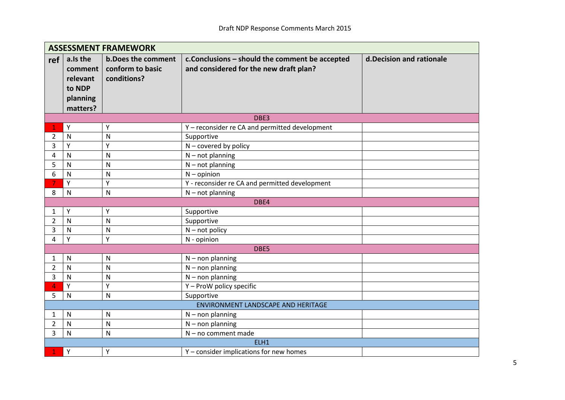|                | <b>ASSESSMENT FRAMEWORK</b>                                       |                                                              |                                                                                           |                           |  |  |
|----------------|-------------------------------------------------------------------|--------------------------------------------------------------|-------------------------------------------------------------------------------------------|---------------------------|--|--|
| ref            | a.Is the<br>comment<br>relevant<br>to NDP<br>planning<br>matters? | <b>b.Does the comment</b><br>conform to basic<br>conditions? | c. Conclusions - should the comment be accepted<br>and considered for the new draft plan? | d. Decision and rationale |  |  |
|                |                                                                   |                                                              | DBE3                                                                                      |                           |  |  |
|                | Y                                                                 | Υ                                                            | Y - reconsider re CA and permitted development                                            |                           |  |  |
| 2              | N                                                                 | N                                                            | Supportive                                                                                |                           |  |  |
| 3              | Υ                                                                 | Y                                                            | $N$ – covered by policy                                                                   |                           |  |  |
| 4              | N                                                                 | N                                                            | $N$ – not planning                                                                        |                           |  |  |
| 5              | $\mathsf{N}$                                                      | N                                                            | $N$ – not planning                                                                        |                           |  |  |
| 6              | $\mathsf{N}$                                                      | N                                                            | $N -$ opinion                                                                             |                           |  |  |
| 7              | Y                                                                 | Y                                                            | Y - reconsider re CA and permitted development                                            |                           |  |  |
| 8              | N                                                                 | N                                                            | $N$ – not planning                                                                        |                           |  |  |
|                |                                                                   |                                                              | DBE4                                                                                      |                           |  |  |
| 1              | Υ                                                                 | Υ                                                            | Supportive                                                                                |                           |  |  |
| $\overline{2}$ | $\mathsf{N}$                                                      | N                                                            | Supportive                                                                                |                           |  |  |
| 3              | N                                                                 | N                                                            | $N - not policy$                                                                          |                           |  |  |
| 4              | Υ                                                                 | Y                                                            | N - opinion                                                                               |                           |  |  |
|                |                                                                   |                                                              | DBE5                                                                                      |                           |  |  |
| 1              | N                                                                 | N                                                            | $N$ – non planning                                                                        |                           |  |  |
| $\overline{2}$ | N                                                                 | N                                                            | $N$ – non planning                                                                        |                           |  |  |
| 3              | N                                                                 | N                                                            | $N$ – non planning                                                                        |                           |  |  |
| 4              | Y                                                                 | Y                                                            | Y - ProW policy specific                                                                  |                           |  |  |
| 5              | N                                                                 | N                                                            | Supportive                                                                                |                           |  |  |
|                |                                                                   |                                                              | ENVIRONMENT LANDSCAPE AND HERITAGE                                                        |                           |  |  |
| 1              | N                                                                 | N                                                            | $N -$ non planning                                                                        |                           |  |  |
| $\overline{2}$ | $\mathsf{N}$                                                      | N                                                            | $N$ – non planning                                                                        |                           |  |  |
| 3              | $\mathsf{N}$                                                      | N                                                            | $N - no$ comment made                                                                     |                           |  |  |
|                |                                                                   |                                                              | ELH1                                                                                      |                           |  |  |
|                | Y                                                                 | Y                                                            | Y - consider implications for new homes                                                   |                           |  |  |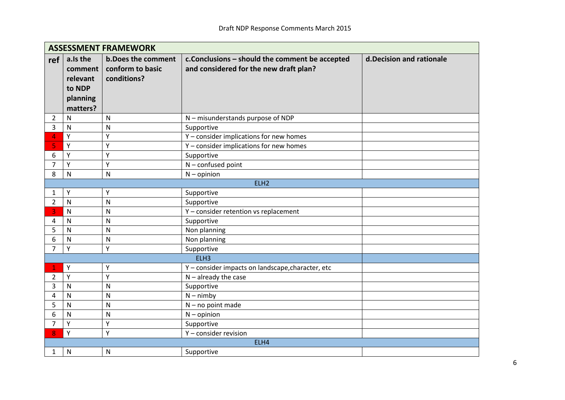|                | <b>ASSESSMENT FRAMEWORK</b>                                       |                                                              |                                                                                          |                           |  |  |  |
|----------------|-------------------------------------------------------------------|--------------------------------------------------------------|------------------------------------------------------------------------------------------|---------------------------|--|--|--|
| ref            | a.Is the<br>comment<br>relevant<br>to NDP<br>planning<br>matters? | <b>b.Does the comment</b><br>conform to basic<br>conditions? | c.Conclusions - should the comment be accepted<br>and considered for the new draft plan? | d. Decision and rationale |  |  |  |
| 2              | $\mathsf{N}$                                                      | N                                                            | N - misunderstands purpose of NDP                                                        |                           |  |  |  |
| 3              | N                                                                 | $\mathsf{N}$                                                 | Supportive                                                                               |                           |  |  |  |
| 4              | Y                                                                 | Υ                                                            | Y - consider implications for new homes                                                  |                           |  |  |  |
| 5              | Y                                                                 | Y                                                            | Y - consider implications for new homes                                                  |                           |  |  |  |
| 6              | Y                                                                 | Y                                                            | Supportive                                                                               |                           |  |  |  |
| 7              | Y                                                                 | Υ                                                            | $N$ – confused point                                                                     |                           |  |  |  |
| 8              | N                                                                 | $\mathsf{N}$                                                 | $N -$ opinion                                                                            |                           |  |  |  |
|                |                                                                   |                                                              | ELH <sub>2</sub>                                                                         |                           |  |  |  |
| 1              | Y                                                                 | Y                                                            | Supportive                                                                               |                           |  |  |  |
| $\overline{2}$ | N                                                                 | $\mathsf{N}$                                                 | Supportive                                                                               |                           |  |  |  |
| 3              | N                                                                 | $\mathsf{N}$                                                 | Y - consider retention vs replacement                                                    |                           |  |  |  |
| 4              | N                                                                 | N                                                            | Supportive                                                                               |                           |  |  |  |
| 5              | N                                                                 | N                                                            | Non planning                                                                             |                           |  |  |  |
| 6              | N                                                                 | N                                                            | Non planning                                                                             |                           |  |  |  |
| 7              | Y                                                                 | Y                                                            | Supportive                                                                               |                           |  |  |  |
|                |                                                                   |                                                              | ELH3                                                                                     |                           |  |  |  |
|                | Y                                                                 | Υ                                                            | Y - consider impacts on landscape, character, etc                                        |                           |  |  |  |
| $\overline{2}$ | Y                                                                 | Y                                                            | $N -$ already the case                                                                   |                           |  |  |  |
| 3              | N                                                                 | $\mathsf{N}$                                                 | Supportive                                                                               |                           |  |  |  |
| 4              | N                                                                 | N                                                            | $N - nimby$                                                                              |                           |  |  |  |
| 5              | N                                                                 | N                                                            | $N - no$ point made                                                                      |                           |  |  |  |
| 6              | N                                                                 | ${\sf N}$                                                    | $N -$ opinion                                                                            |                           |  |  |  |
| $\overline{7}$ | Y                                                                 | Y                                                            | Supportive                                                                               |                           |  |  |  |
| 8              | Y                                                                 | Y                                                            | Y - consider revision                                                                    |                           |  |  |  |
|                |                                                                   |                                                              | ELH4                                                                                     |                           |  |  |  |
| 1              | N                                                                 | N                                                            | Supportive                                                                               |                           |  |  |  |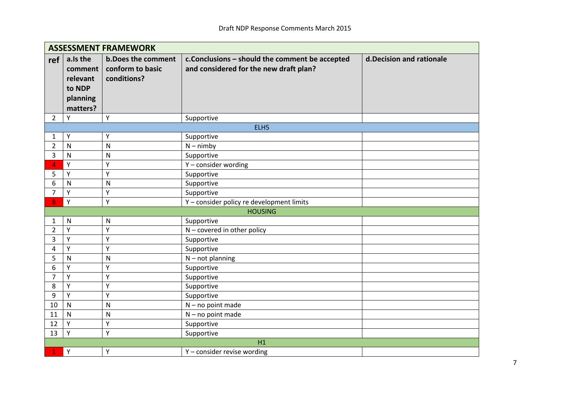|                | <b>ASSESSMENT FRAMEWORK</b>                                       |                                                              |                                                                                          |                           |  |  |
|----------------|-------------------------------------------------------------------|--------------------------------------------------------------|------------------------------------------------------------------------------------------|---------------------------|--|--|
| ref            | a.Is the<br>comment<br>relevant<br>to NDP<br>planning<br>matters? | <b>b.Does the comment</b><br>conform to basic<br>conditions? | c.Conclusions - should the comment be accepted<br>and considered for the new draft plan? | d. Decision and rationale |  |  |
| $\overline{2}$ | Y                                                                 | Υ                                                            | Supportive                                                                               |                           |  |  |
|                |                                                                   |                                                              | ELH5                                                                                     |                           |  |  |
| 1              | Υ                                                                 | Υ                                                            | Supportive                                                                               |                           |  |  |
| $\overline{2}$ | N                                                                 | $\mathsf{N}$                                                 | $N - nimby$                                                                              |                           |  |  |
| 3              | N                                                                 | N                                                            | Supportive                                                                               |                           |  |  |
| 4              | Y                                                                 | Υ                                                            | Y - consider wording                                                                     |                           |  |  |
| 5              | Y                                                                 | Y                                                            | Supportive                                                                               |                           |  |  |
| 6              | N                                                                 | N                                                            | Supportive                                                                               |                           |  |  |
| 7              | Y                                                                 | Ý                                                            | Supportive                                                                               |                           |  |  |
| 8              | Y                                                                 | Υ                                                            | Y - consider policy re development limits                                                |                           |  |  |
|                |                                                                   |                                                              | <b>HOUSING</b>                                                                           |                           |  |  |
| $\mathbf{1}$   | N                                                                 | N                                                            | Supportive                                                                               |                           |  |  |
| $\overline{2}$ | Y                                                                 | Y                                                            | $N$ – covered in other policy                                                            |                           |  |  |
| 3              | Y                                                                 | Y                                                            | Supportive                                                                               |                           |  |  |
| 4              | Y                                                                 | Y                                                            | Supportive                                                                               |                           |  |  |
| 5              | N                                                                 | N                                                            | $N - not planning$                                                                       |                           |  |  |
| 6              | Υ                                                                 | Υ                                                            | Supportive                                                                               |                           |  |  |
| 7              | Y                                                                 | Υ                                                            | Supportive                                                                               |                           |  |  |
| 8              | Υ                                                                 | Υ                                                            | Supportive                                                                               |                           |  |  |
| 9              | Υ                                                                 | Y                                                            | Supportive                                                                               |                           |  |  |
| 10             | N                                                                 | N                                                            | $N - no$ point made                                                                      |                           |  |  |
| 11             | N                                                                 | N                                                            | $N - no$ point made                                                                      |                           |  |  |
| 12             | Y                                                                 | Υ                                                            | Supportive                                                                               |                           |  |  |
| 13             | Y                                                                 | Υ                                                            | Supportive                                                                               |                           |  |  |
|                |                                                                   |                                                              | H1                                                                                       |                           |  |  |
|                | Y                                                                 | Y                                                            | Y - consider revise wording                                                              |                           |  |  |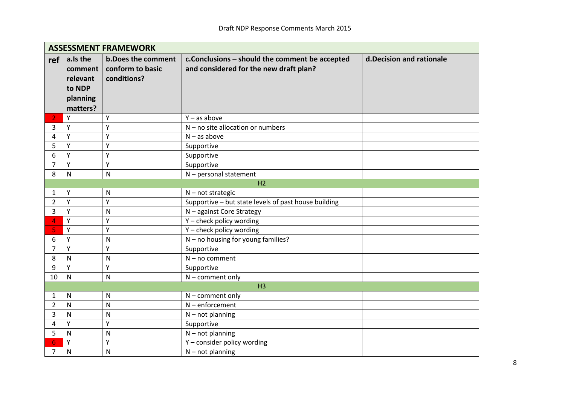|                | <b>ASSESSMENT FRAMEWORK</b>                                       |                                                              |                                                                                           |                           |  |  |  |
|----------------|-------------------------------------------------------------------|--------------------------------------------------------------|-------------------------------------------------------------------------------------------|---------------------------|--|--|--|
| ref            | a.Is the<br>comment<br>relevant<br>to NDP<br>planning<br>matters? | <b>b.Does the comment</b><br>conform to basic<br>conditions? | c. Conclusions - should the comment be accepted<br>and considered for the new draft plan? | d. Decision and rationale |  |  |  |
| 2              | Y                                                                 | Y                                                            | $Y - as above$                                                                            |                           |  |  |  |
| 3              | Υ                                                                 | Y                                                            | $N$ – no site allocation or numbers                                                       |                           |  |  |  |
| 4              | Y                                                                 | Y                                                            | $N - as above$                                                                            |                           |  |  |  |
| 5              | Υ                                                                 | Y                                                            | Supportive                                                                                |                           |  |  |  |
| 6              | Y                                                                 | Y                                                            | Supportive                                                                                |                           |  |  |  |
| 7              | Υ                                                                 | Y                                                            | Supportive                                                                                |                           |  |  |  |
| 8              | N                                                                 | N                                                            | $N$ – personal statement                                                                  |                           |  |  |  |
|                |                                                                   |                                                              | H <sub>2</sub>                                                                            |                           |  |  |  |
| 1              | Y                                                                 | N                                                            | $N$ – not strategic                                                                       |                           |  |  |  |
| $\overline{2}$ | Y                                                                 | Y                                                            | Supportive - but state levels of past house building                                      |                           |  |  |  |
| 3              | Υ                                                                 | N                                                            | N - against Core Strategy                                                                 |                           |  |  |  |
| 4              | Υ                                                                 | Y                                                            | Y - check policy wording                                                                  |                           |  |  |  |
| 5.             | Y                                                                 | Y                                                            | Y - check policy wording                                                                  |                           |  |  |  |
| 6              | Y                                                                 | N                                                            | $N - no$ housing for young families?                                                      |                           |  |  |  |
| 7              | Y                                                                 | Υ                                                            | Supportive                                                                                |                           |  |  |  |
| 8              | N                                                                 | N                                                            | $N - no comment$                                                                          |                           |  |  |  |
| 9              | Y                                                                 | Y                                                            | Supportive                                                                                |                           |  |  |  |
| 10             | $\mathsf{N}$                                                      | N                                                            | $N$ – comment only                                                                        |                           |  |  |  |
|                |                                                                   |                                                              | H <sub>3</sub>                                                                            |                           |  |  |  |
| 1              | $\mathsf{N}$                                                      | N                                                            | $N$ – comment only                                                                        |                           |  |  |  |
| 2              | N                                                                 | N                                                            | $N$ – enforcement                                                                         |                           |  |  |  |
| 3              | N                                                                 | N                                                            | $N$ – not planning                                                                        |                           |  |  |  |
| 4              | Υ                                                                 | Y                                                            | Supportive                                                                                |                           |  |  |  |
| 5              | $\mathsf{N}$                                                      | N                                                            | $N$ – not planning                                                                        |                           |  |  |  |
| 6              | Y                                                                 | Y                                                            | Y - consider policy wording                                                               |                           |  |  |  |
| $\overline{7}$ | N                                                                 | N                                                            | $N$ – not planning                                                                        |                           |  |  |  |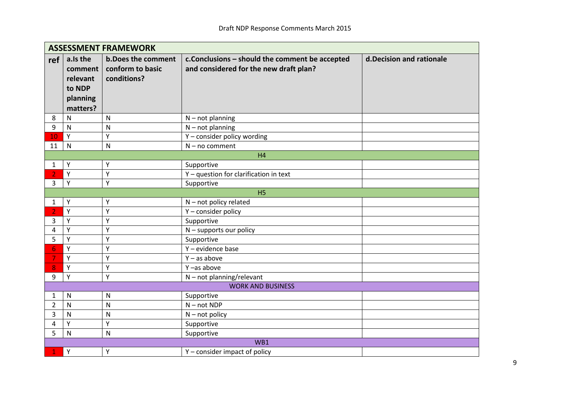|                | <b>ASSESSMENT FRAMEWORK</b>                                       |                                                              |                                                                                          |                           |  |  |  |
|----------------|-------------------------------------------------------------------|--------------------------------------------------------------|------------------------------------------------------------------------------------------|---------------------------|--|--|--|
| ref            | a.Is the<br>comment<br>relevant<br>to NDP<br>planning<br>matters? | <b>b.Does the comment</b><br>conform to basic<br>conditions? | c.Conclusions - should the comment be accepted<br>and considered for the new draft plan? | d. Decision and rationale |  |  |  |
| 8              | N                                                                 | $\mathsf{N}$                                                 | $N$ – not planning                                                                       |                           |  |  |  |
| 9              | $\mathsf{N}$                                                      | ${\sf N}$                                                    | $N$ – not planning                                                                       |                           |  |  |  |
| 10             | Y                                                                 | Y                                                            | Y - consider policy wording                                                              |                           |  |  |  |
| 11             | N                                                                 | N                                                            | $N - no$ comment                                                                         |                           |  |  |  |
|                |                                                                   |                                                              | H4                                                                                       |                           |  |  |  |
| 1              | Y                                                                 | Υ                                                            | Supportive                                                                               |                           |  |  |  |
| 2              | Y                                                                 | Y                                                            | Y - question for clarification in text                                                   |                           |  |  |  |
| 3              | Y                                                                 | Y                                                            | Supportive                                                                               |                           |  |  |  |
|                |                                                                   |                                                              | H <sub>5</sub>                                                                           |                           |  |  |  |
| 1              | Υ                                                                 | Υ                                                            | $N$ – not policy related                                                                 |                           |  |  |  |
|                | Y                                                                 | Y                                                            | Y - consider policy                                                                      |                           |  |  |  |
| 3              | Y                                                                 | Y                                                            | Supportive                                                                               |                           |  |  |  |
| 4              | Y                                                                 | Y                                                            | $N$ – supports our policy                                                                |                           |  |  |  |
| 5              | Y                                                                 | Y                                                            | Supportive                                                                               |                           |  |  |  |
| 6              | Y                                                                 | Υ                                                            | Y - evidence base                                                                        |                           |  |  |  |
| 7              | Y                                                                 | Y                                                            | $Y - as above$                                                                           |                           |  |  |  |
| 8              | Y                                                                 | Υ                                                            | Y-as above                                                                               |                           |  |  |  |
| 9              | Y                                                                 | Υ                                                            | $N$ – not planning/relevant                                                              |                           |  |  |  |
|                |                                                                   |                                                              | <b>WORK AND BUSINESS</b>                                                                 |                           |  |  |  |
| 1              | $\mathsf{N}$                                                      | ${\sf N}$                                                    | Supportive                                                                               |                           |  |  |  |
| $\overline{2}$ | N                                                                 | N                                                            | $N - not NDP$                                                                            |                           |  |  |  |
| 3              | $\mathsf{N}$                                                      | N                                                            | $N - not policy$                                                                         |                           |  |  |  |
| 4              | Y                                                                 | Y                                                            | Supportive                                                                               |                           |  |  |  |
| 5              | $\mathsf{N}$                                                      | $\mathsf{N}$                                                 | Supportive                                                                               |                           |  |  |  |
|                |                                                                   |                                                              | WB1                                                                                      |                           |  |  |  |
|                | Y                                                                 | Y                                                            | Y - consider impact of policy                                                            |                           |  |  |  |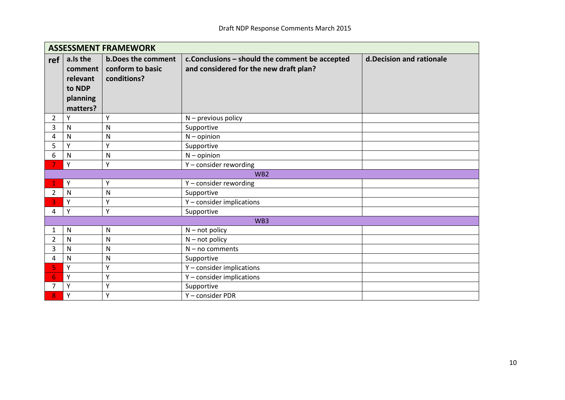|     | <b>ASSESSMENT FRAMEWORK</b>                                       |                                                       |                                                                                          |                           |  |  |
|-----|-------------------------------------------------------------------|-------------------------------------------------------|------------------------------------------------------------------------------------------|---------------------------|--|--|
| ref | a.Is the<br>comment<br>relevant<br>to NDP<br>planning<br>matters? | b.Does the comment<br>conform to basic<br>conditions? | c.Conclusions - should the comment be accepted<br>and considered for the new draft plan? | d. Decision and rationale |  |  |
| 2   | Υ                                                                 | Y                                                     | $N$ – previous policy                                                                    |                           |  |  |
| 3   | N                                                                 | N                                                     | Supportive                                                                               |                           |  |  |
| 4   | N                                                                 | N                                                     | $N -$ opinion                                                                            |                           |  |  |
| 5   | Υ                                                                 | Y                                                     | Supportive                                                                               |                           |  |  |
| 6   | N                                                                 | N                                                     | $N -$ opinion                                                                            |                           |  |  |
|     | Y                                                                 | Υ                                                     | Y - consider rewording                                                                   |                           |  |  |
|     |                                                                   |                                                       | WB <sub>2</sub>                                                                          |                           |  |  |
|     | Y                                                                 | Y                                                     | Y - consider rewording                                                                   |                           |  |  |
| 2   | N                                                                 | N                                                     | Supportive                                                                               |                           |  |  |
| 3   | Y                                                                 | Υ                                                     | Y - consider implications                                                                |                           |  |  |
| 4   | Y                                                                 | γ                                                     | Supportive                                                                               |                           |  |  |
|     |                                                                   |                                                       | WB3                                                                                      |                           |  |  |
| 1   | N                                                                 | N                                                     | $N - not policy$                                                                         |                           |  |  |
| 2   | N                                                                 | N                                                     | $N - not policy$                                                                         |                           |  |  |
| 3   | N                                                                 | N                                                     | $N - no$ comments                                                                        |                           |  |  |
| 4   | N                                                                 | N                                                     | Supportive                                                                               |                           |  |  |
| 5   | Y                                                                 | Υ                                                     | Y - consider implications                                                                |                           |  |  |
| 6   | Υ                                                                 | Y                                                     | Y - consider implications                                                                |                           |  |  |
| 7   | Υ                                                                 | Υ                                                     | Supportive                                                                               |                           |  |  |
| 8   | Υ                                                                 | Υ                                                     | Y - consider PDR                                                                         |                           |  |  |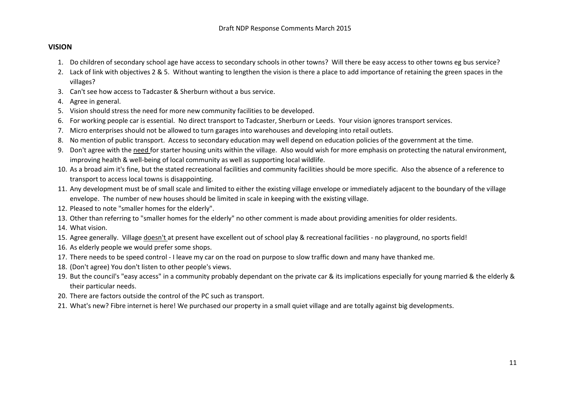#### **VISION**

- 1. Do children of secondary school age have access to secondary schools in other towns? Will there be easy access to other towns eg bus service?
- 2. Lack of link with objectives 2 & 5. Without wanting to lengthen the vision is there a place to add importance of retaining the green spaces in the villages?
- 3. Can't see how access to Tadcaster & Sherburn without a bus service.
- 4. Agree in general.
- 5. Vision should stress the need for more new community facilities to be developed.
- 6. For working people car is essential. No direct transport to Tadcaster, Sherburn or Leeds. Your vision ignores transport services.
- 7. Micro enterprises should not be allowed to turn garages into warehouses and developing into retail outlets.
- 8. No mention of public transport. Access to secondary education may well depend on education policies of the government at the time.
- 9. Don't agree with the need for starter housing units within the village. Also would wish for more emphasis on protecting the natural environment, improving health & well-being of local community as well as supporting local wildlife.
- 10. As a broad aim it's fine, but the stated recreational facilities and community facilities should be more specific. Also the absence of a reference to transport to access local towns is disappointing.
- 11. Any development must be of small scale and limited to either the existing village envelope or immediately adjacent to the boundary of the village envelope. The number of new houses should be limited in scale in keeping with the existing village.
- 12. Pleased to note "smaller homes for the elderly".
- 13. Other than referring to "smaller homes for the elderly" no other comment is made about providing amenities for older residents.
- 14. What vision.
- 15. Agree generally. Village doesn't at present have excellent out of school play & recreational facilities no playground, no sports field!
- 16. As elderly people we would prefer some shops.
- 17. There needs to be speed control I leave my car on the road on purpose to slow traffic down and many have thanked me.
- 18. (Don't agree) You don't listen to other people's views.
- 19. But the council's "easy access" in a community probably dependant on the private car & its implications especially for young married & the elderly & their particular needs.
- 20. There are factors outside the control of the PC such as transport.
- 21. What's new? Fibre internet is here! We purchased our property in a small quiet village and are totally against big developments.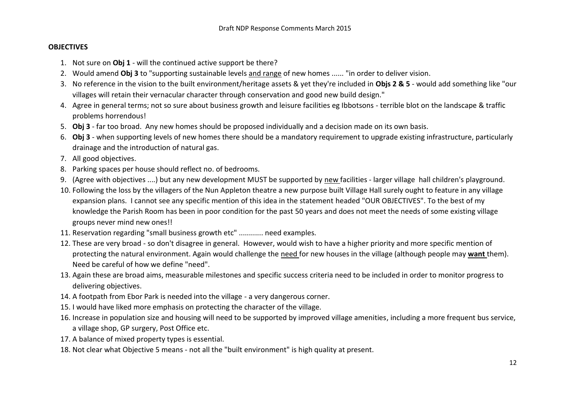## **OBJECTIVES**

- 1. Not sure on **Obj 1** will the continued active support be there?
- 2. Would amend **Obj 3** to "supporting sustainable levels and range of new homes ...... "in order to deliver vision.
- 3. No reference in the vision to the built environment/heritage assets & yet they're included in **Objs 2 & 5** would add something like "our villages will retain their vernacular character through conservation and good new build design."
- 4. Agree in general terms; not so sure about business growth and leisure facilities eg Ibbotsons terrible blot on the landscape & traffic problems horrendous!
- 5. **Obj 3**  far too broad. Any new homes should be proposed individually and a decision made on its own basis.
- 6. **Obj 3** when supporting levels of new homes there should be a mandatory requirement to upgrade existing infrastructure, particularly drainage and the introduction of natural gas.
- 7. All good objectives.
- 8. Parking spaces per house should reflect no. of bedrooms.
- 9. (Agree with objectives ....) but any new development MUST be supported by new facilities larger village hall children's playground.
- 10. Following the loss by the villagers of the Nun Appleton theatre a new purpose built Village Hall surely ought to feature in any village expansion plans. I cannot see any specific mention of this idea in the statement headed "OUR OBJECTIVES". To the best of my knowledge the Parish Room has been in poor condition for the past 50 years and does not meet the needs of some existing village groups never mind new ones!!
- 11. Reservation regarding "small business growth etc" ............ need examples.
- 12. These are very broad so don't disagree in general. However, would wish to have a higher priority and more specific mention of protecting the natural environment. Again would challenge the need for new houses in the village (although people may **want** them). Need be careful of how we define "need".
- 13. Again these are broad aims, measurable milestones and specific success criteria need to be included in order to monitor progress to delivering objectives.
- 14. A footpath from Ebor Park is needed into the village a very dangerous corner.
- 15. I would have liked more emphasis on protecting the character of the village.
- 16. Increase in population size and housing will need to be supported by improved village amenities, including a more frequent bus service, a village shop, GP surgery, Post Office etc.
- 17. A balance of mixed property types is essential.
- 18. Not clear what Objective 5 means not all the "built environment" is high quality at present.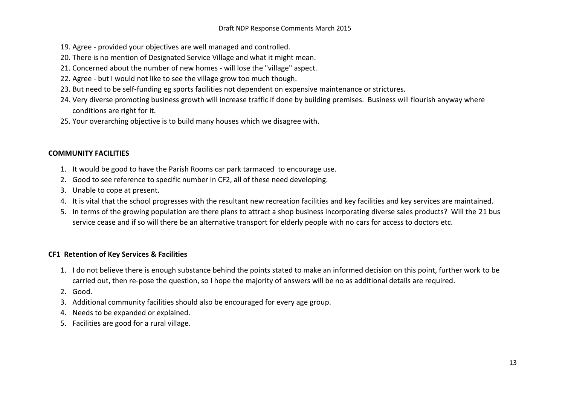- 19. Agree provided your objectives are well managed and controlled.
- 20. There is no mention of Designated Service Village and what it might mean.
- 21. Concerned about the number of new homes will lose the "village" aspect.
- 22. Agree but I would not like to see the village grow too much though.
- 23. But need to be self-funding eg sports facilities not dependent on expensive maintenance or strictures.
- 24. Very diverse promoting business growth will increase traffic if done by building premises. Business will flourish anyway where conditions are right for it.
- 25. Your overarching objective is to build many houses which we disagree with.

## **COMMUNITY FACILITIES**

- 1. It would be good to have the Parish Rooms car park tarmaced to encourage use.
- 2. Good to see reference to specific number in CF2, all of these need developing.
- 3. Unable to cope at present.
- 4. It is vital that the school progresses with the resultant new recreation facilities and key facilities and key services are maintained.
- 5. In terms of the growing population are there plans to attract a shop business incorporating diverse sales products? Will the 21 bus service cease and if so will there be an alternative transport for elderly people with no cars for access to doctors etc.

## **CF1 Retention of Key Services & Facilities**

- 1. I do not believe there is enough substance behind the points stated to make an informed decision on this point, further work to be carried out, then re-pose the question, so I hope the majority of answers will be no as additional details are required.
- 2. Good.
- 3. Additional community facilities should also be encouraged for every age group.
- 4. Needs to be expanded or explained.
- 5. Facilities are good for a rural village.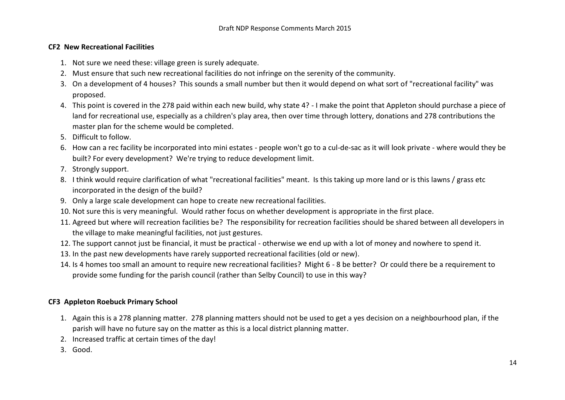## **CF2 New Recreational Facilities**

- 1. Not sure we need these: village green is surely adequate.
- 2. Must ensure that such new recreational facilities do not infringe on the serenity of the community.
- 3. On a development of 4 houses? This sounds a small number but then it would depend on what sort of "recreational facility" was proposed.
- 4. This point is covered in the 278 paid within each new build, why state 4? I make the point that Appleton should purchase a piece of land for recreational use, especially as a children's play area, then over time through lottery, donations and 278 contributions the master plan for the scheme would be completed.
- 5. Difficult to follow.
- 6. How can a rec facility be incorporated into mini estates people won't go to a cul-de-sac as it will look private where would they be built? For every development? We're trying to reduce development limit.
- 7. Strongly support.
- 8. I think would require clarification of what "recreational facilities" meant. Is this taking up more land or is this lawns / grass etc incorporated in the design of the build?
- 9. Only a large scale development can hope to create new recreational facilities.
- 10. Not sure this is very meaningful. Would rather focus on whether development is appropriate in the first place.
- 11. Agreed but where will recreation facilities be? The responsibility for recreation facilities should be shared between all developers in the village to make meaningful facilities, not just gestures.
- 12. The support cannot just be financial, it must be practical otherwise we end up with a lot of money and nowhere to spend it.
- 13. In the past new developments have rarely supported recreational facilities (old or new).
- 14. Is 4 homes too small an amount to require new recreational facilities? Might 6 8 be better? Or could there be a requirement to provide some funding for the parish council (rather than Selby Council) to use in this way?

# **CF3 Appleton Roebuck Primary School**

- 1. Again this is a 278 planning matter. 278 planning matters should not be used to get a yes decision on a neighbourhood plan, if the parish will have no future say on the matter as this is a local district planning matter.
- 2. Increased traffic at certain times of the day!
- 3. Good.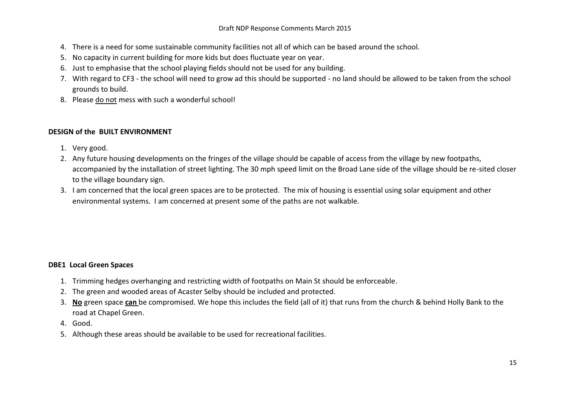- 4. There is a need for some sustainable community facilities not all of which can be based around the school.
- 5. No capacity in current building for more kids but does fluctuate year on year.
- 6. Just to emphasise that the school playing fields should not be used for any building.
- 7. With regard to CF3 the school will need to grow ad this should be supported no land should be allowed to be taken from the school grounds to build.
- 8. Please do not mess with such a wonderful school!

# **DESIGN of the BUILT ENVIRONMENT**

- 1. Very good.
- 2. Any future housing developments on the fringes of the village should be capable of access from the village by new footpaths, accompanied by the installation of street lighting. The 30 mph speed limit on the Broad Lane side of the village should be re-sited closer to the village boundary sign.
- 3. I am concerned that the local green spaces are to be protected. The mix of housing is essential using solar equipment and other environmental systems. I am concerned at present some of the paths are not walkable.

# **DBE1 Local Green Spaces**

- 1. Trimming hedges overhanging and restricting width of footpaths on Main St should be enforceable.
- 2. The green and wooded areas of Acaster Selby should be included and protected.
- 3. **No** green space **can** be compromised. We hope this includes the field (all of it) that runs from the church & behind Holly Bank to the road at Chapel Green.
- 4. Good.
- 5. Although these areas should be available to be used for recreational facilities.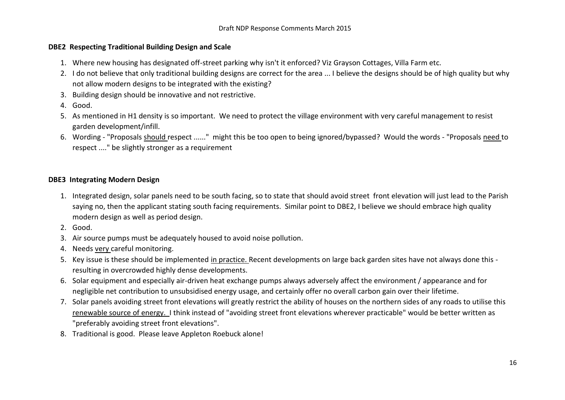## **DBE2 Respecting Traditional Building Design and Scale**

- 1. Where new housing has designated off-street parking why isn't it enforced? Viz Grayson Cottages, Villa Farm etc.
- 2. I do not believe that only traditional building designs are correct for the area ... I believe the designs should be of high quality but why not allow modern designs to be integrated with the existing?
- 3. Building design should be innovative and not restrictive.
- 4. Good.
- 5. As mentioned in H1 density is so important. We need to protect the village environment with very careful management to resist garden development/infill.
- 6. Wording "Proposals should respect ......" might this be too open to being ignored/bypassed? Would the words "Proposals need to respect ...." be slightly stronger as a requirement

## **DBE3 Integrating Modern Design**

- 1. Integrated design, solar panels need to be south facing, so to state that should avoid street front elevation will just lead to the Parish saying no, then the applicant stating south facing requirements. Similar point to DBE2, I believe we should embrace high quality modern design as well as period design.
- 2. Good.
- 3. Air source pumps must be adequately housed to avoid noise pollution.
- 4. Needs very careful monitoring.
- 5. Key issue is these should be implemented in practice. Recent developments on large back garden sites have not always done this resulting in overcrowded highly dense developments.
- 6. Solar equipment and especially air-driven heat exchange pumps always adversely affect the environment / appearance and for negligible net contribution to unsubsidised energy usage, and certainly offer no overall carbon gain over their lifetime.
- 7. Solar panels avoiding street front elevations will greatly restrict the ability of houses on the northern sides of any roads to utilise this renewable source of energy. I think instead of "avoiding street front elevations wherever practicable" would be better written as "preferably avoiding street front elevations".
- 8. Traditional is good. Please leave Appleton Roebuck alone!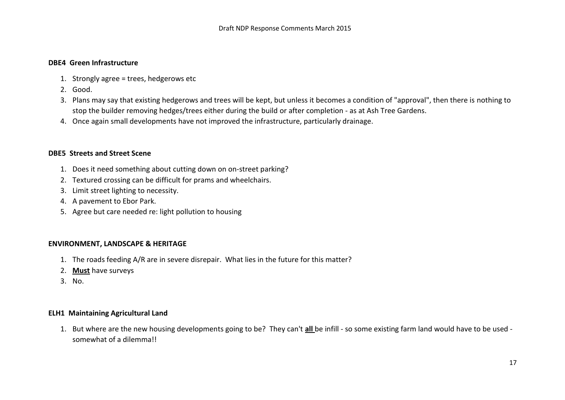#### **DBE4 Green Infrastructure**

- 1. Strongly agree = trees, hedgerows etc
- 2. Good.
- 3. Plans may say that existing hedgerows and trees will be kept, but unless it becomes a condition of "approval", then there is nothing to stop the builder removing hedges/trees either during the build or after completion - as at Ash Tree Gardens.
- 4. Once again small developments have not improved the infrastructure, particularly drainage.

#### **DBE5 Streets and Street Scene**

- 1. Does it need something about cutting down on on-street parking?
- 2. Textured crossing can be difficult for prams and wheelchairs.
- 3. Limit street lighting to necessity.
- 4. A pavement to Ebor Park.
- 5. Agree but care needed re: light pollution to housing

#### **ENVIRONMENT, LANDSCAPE & HERITAGE**

- 1. The roads feeding A/R are in severe disrepair. What lies in the future for this matter?
- 2. **Must** have surveys
- 3. No.

#### **ELH1 Maintaining Agricultural Land**

1. But where are the new housing developments going to be? They can't **all** be infill - so some existing farm land would have to be used somewhat of a dilemma!!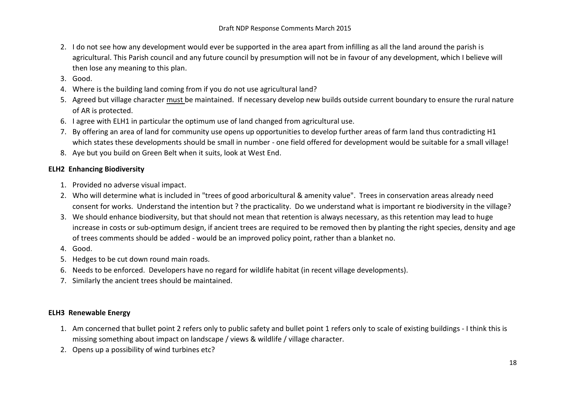- 2. I do not see how any development would ever be supported in the area apart from infilling as all the land around the parish is agricultural. This Parish council and any future council by presumption will not be in favour of any development, which I believe will then lose any meaning to this plan.
- 3. Good.
- 4. Where is the building land coming from if you do not use agricultural land?
- 5. Agreed but village character must be maintained. If necessary develop new builds outside current boundary to ensure the rural nature of AR is protected.
- 6. I agree with ELH1 in particular the optimum use of land changed from agricultural use.
- 7. By offering an area of land for community use opens up opportunities to develop further areas of farm land thus contradicting H1 which states these developments should be small in number - one field offered for development would be suitable for a small village!
- 8. Aye but you build on Green Belt when it suits, look at West End.

# **ELH2 Enhancing Biodiversity**

- 1. Provided no adverse visual impact.
- 2. Who will determine what is included in "trees of good arboricultural & amenity value". Trees in conservation areas already need consent for works. Understand the intention but ? the practicality. Do we understand what is important re biodiversity in the village?
- 3. We should enhance biodiversity, but that should not mean that retention is always necessary, as this retention may lead to huge increase in costs or sub-optimum design, if ancient trees are required to be removed then by planting the right species, density and age of trees comments should be added - would be an improved policy point, rather than a blanket no.
- 4. Good.
- 5. Hedges to be cut down round main roads.
- 6. Needs to be enforced. Developers have no regard for wildlife habitat (in recent village developments).
- 7. Similarly the ancient trees should be maintained.

## **ELH3 Renewable Energy**

- 1. Am concerned that bullet point 2 refers only to public safety and bullet point 1 refers only to scale of existing buildings I think this is missing something about impact on landscape / views & wildlife / village character.
- 2. Opens up a possibility of wind turbines etc?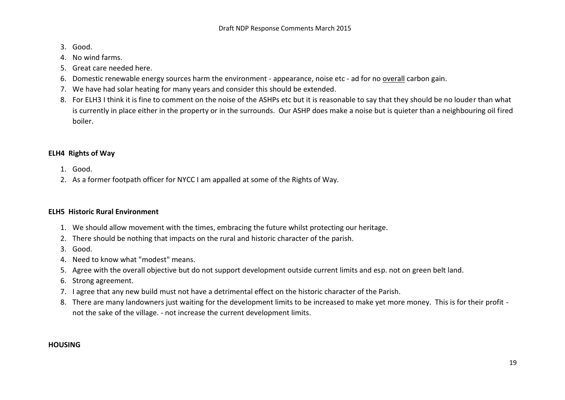- 3. Good.
- 4. No wind farms.
- 5. Great care needed here.
- 6. Domestic renewable energy sources harm the environment appearance, noise etc ad for no overall carbon gain.
- 7. We have had solar heating for many years and consider this should be extended.
- 8. For ELH3 I think it is fine to comment on the noise of the ASHPs etc but it is reasonable to say that they should be no louder than what is currently in place either in the property or in the surrounds. Our ASHP does make a noise but is quieter than a neighbouring oil fired boiler.

# **ELH4 Rights of Way**

- 1. Good.
- 2. As a former footpath officer for NYCC I am appalled at some of the Rights of Way.

## **ELH5 Historic Rural Environment**

- 1. We should allow movement with the times, embracing the future whilst protecting our heritage.
- 2. There should be nothing that impacts on the rural and historic character of the parish.
- 3. Good.
- 4. Need to know what "modest" means.
- 5. Agree with the overall objective but do not support development outside current limits and esp. not on green belt land.
- 6. Strong agreement.
- 7. I agree that any new build must not have a detrimental effect on the historic character of the Parish.
- 8. There are many landowners just waiting for the development limits to be increased to make yet more money. This is for their profit not the sake of the village. - not increase the current development limits.

## **HOUSING**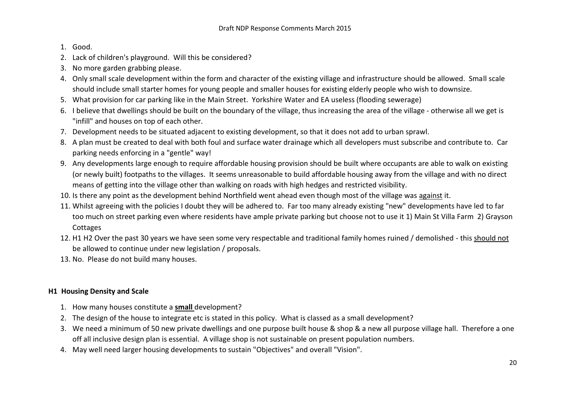- 1. Good.
- 2. Lack of children's playground. Will this be considered?
- 3. No more garden grabbing please.
- 4. Only small scale development within the form and character of the existing village and infrastructure should be allowed. Small scale should include small starter homes for young people and smaller houses for existing elderly people who wish to downsize.
- 5. What provision for car parking like in the Main Street. Yorkshire Water and EA useless (flooding sewerage)
- 6. I believe that dwellings should be built on the boundary of the village, thus increasing the area of the village otherwise all we get is "infill" and houses on top of each other.
- 7. Development needs to be situated adjacent to existing development, so that it does not add to urban sprawl.
- 8. A plan must be created to deal with both foul and surface water drainage which all developers must subscribe and contribute to. Car parking needs enforcing in a "gentle" way!
- 9. Any developments large enough to require affordable housing provision should be built where occupants are able to walk on existing (or newly built) footpaths to the villages. It seems unreasonable to build affordable housing away from the village and with no direct means of getting into the village other than walking on roads with high hedges and restricted visibility.
- 10. Is there any point as the development behind Northfield went ahead even though most of the village was against it.
- 11. Whilst agreeing with the policies I doubt they will be adhered to. Far too many already existing "new" developments have led to far too much on street parking even where residents have ample private parking but choose not to use it 1) Main St Villa Farm 2) Grayson **Cottages**
- 12. H1 H2 Over the past 30 years we have seen some very respectable and traditional family homes ruined / demolished this should not be allowed to continue under new legislation / proposals.
- 13. No. Please do not build many houses.

# **H1 Housing Density and Scale**

- 1. How many houses constitute a **small** development?
- 2. The design of the house to integrate etc is stated in this policy. What is classed as a small development?
- 3. We need a minimum of 50 new private dwellings and one purpose built house & shop & a new all purpose village hall. Therefore a one off all inclusive design plan is essential. A village shop is not sustainable on present population numbers.
- 4. May well need larger housing developments to sustain "Objectives" and overall "Vision".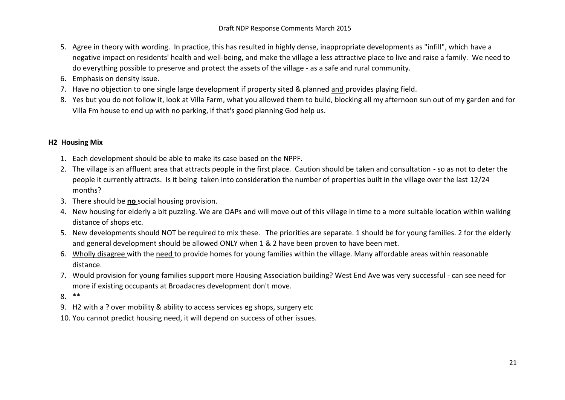- 5. Agree in theory with wording. In practice, this has resulted in highly dense, inappropriate developments as "infill", which have a negative impact on residents' health and well-being, and make the village a less attractive place to live and raise a family. We need to do everything possible to preserve and protect the assets of the village - as a safe and rural community.
- 6. Emphasis on density issue.
- 7. Have no objection to one single large development if property sited & planned and provides playing field.
- 8. Yes but you do not follow it, look at Villa Farm, what you allowed them to build, blocking all my afternoon sun out of my garden and for Villa Fm house to end up with no parking, if that's good planning God help us.

# **H2 Housing Mix**

- 1. Each development should be able to make its case based on the NPPF.
- 2. The village is an affluent area that attracts people in the first place. Caution should be taken and consultation so as not to deter the people it currently attracts. Is it being taken into consideration the number of properties built in the village over the last 12/24 months?
- 3. There should be **no** social housing provision.
- 4. New housing for elderly a bit puzzling. We are OAPs and will move out of this village in time to a more suitable location within walking distance of shops etc.
- 5. New developments should NOT be required to mix these. The priorities are separate. 1 should be for young families. 2 for the elderly and general development should be allowed ONLY when 1 & 2 have been proven to have been met.
- 6. Wholly disagree with the need to provide homes for young families within the village. Many affordable areas within reasonable distance.
- 7. Would provision for young families support more Housing Association building? West End Ave was very successful can see need for more if existing occupants at Broadacres development don't move.
- 8. \*\*
- 9. H2 with a ? over mobility & ability to access services eg shops, surgery etc
- 10. You cannot predict housing need, it will depend on success of other issues.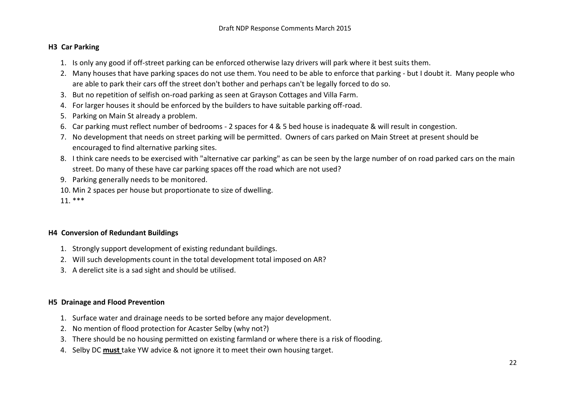# **H3 Car Parking**

- 1. Is only any good if off-street parking can be enforced otherwise lazy drivers will park where it best suits them.
- 2. Many houses that have parking spaces do not use them. You need to be able to enforce that parking but I doubt it. Many people who are able to park their cars off the street don't bother and perhaps can't be legally forced to do so.
- 3. But no repetition of selfish on-road parking as seen at Grayson Cottages and Villa Farm.
- 4. For larger houses it should be enforced by the builders to have suitable parking off-road.
- 5. Parking on Main St already a problem.
- 6. Car parking must reflect number of bedrooms 2 spaces for 4 & 5 bed house is inadequate & will result in congestion.
- 7. No development that needs on street parking will be permitted. Owners of cars parked on Main Street at present should be encouraged to find alternative parking sites.
- 8. I think care needs to be exercised with "alternative car parking" as can be seen by the large number of on road parked cars on the main street. Do many of these have car parking spaces off the road which are not used?
- 9. Parking generally needs to be monitored.
- 10. Min 2 spaces per house but proportionate to size of dwelling.
- 11. \*\*\*

## **H4 Conversion of Redundant Buildings**

- 1. Strongly support development of existing redundant buildings.
- 2. Will such developments count in the total development total imposed on AR?
- 3. A derelict site is a sad sight and should be utilised.

## **H5 Drainage and Flood Prevention**

- 1. Surface water and drainage needs to be sorted before any major development.
- 2. No mention of flood protection for Acaster Selby (why not?)
- 3. There should be no housing permitted on existing farmland or where there is a risk of flooding.
- 4. Selby DC **must** take YW advice & not ignore it to meet their own housing target.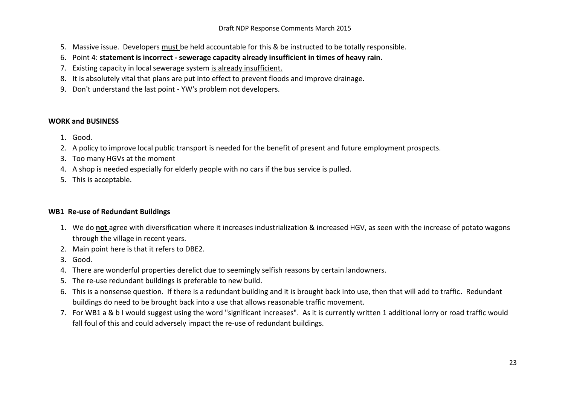- 5. Massive issue. Developers must be held accountable for this & be instructed to be totally responsible.
- 6. Point 4: **statement is incorrect - sewerage capacity already insufficient in times of heavy rain.**
- 7. Existing capacity in local sewerage system is already insufficient.
- 8. It is absolutely vital that plans are put into effect to prevent floods and improve drainage.
- 9. Don't understand the last point YW's problem not developers.

# **WORK and BUSINESS**

- 1. Good.
- 2. A policy to improve local public transport is needed for the benefit of present and future employment prospects.
- 3. Too many HGVs at the moment
- 4. A shop is needed especially for elderly people with no cars if the bus service is pulled.
- 5. This is acceptable.

## **WB1 Re-use of Redundant Buildings**

- 1. We do **not** agree with diversification where it increases industrialization & increased HGV, as seen with the increase of potato wagons through the village in recent years.
- 2. Main point here is that it refers to DBE2.
- 3. Good.
- 4. There are wonderful properties derelict due to seemingly selfish reasons by certain landowners.
- 5. The re-use redundant buildings is preferable to new build.
- 6. This is a nonsense question. If there is a redundant building and it is brought back into use, then that will add to traffic. Redundant buildings do need to be brought back into a use that allows reasonable traffic movement.
- 7. For WB1 a & b I would suggest using the word "significant increases". As it is currently written 1 additional lorry or road traffic would fall foul of this and could adversely impact the re-use of redundant buildings.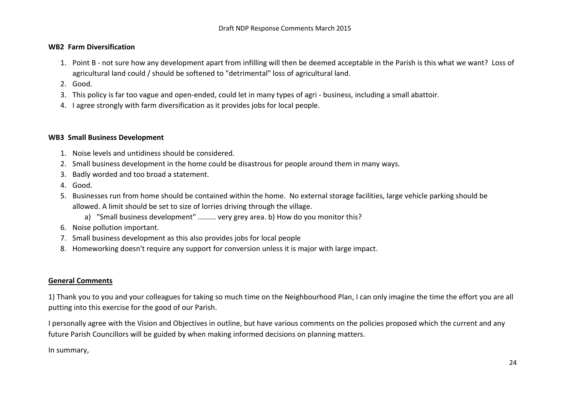#### **WB2 Farm Diversification**

- 1. Point B not sure how any development apart from infilling will then be deemed acceptable in the Parish is this what we want? Loss of agricultural land could / should be softened to "detrimental" loss of agricultural land.
- 2. Good.
- 3. This policy is far too vague and open-ended, could let in many types of agri business, including a small abattoir.
- 4. I agree strongly with farm diversification as it provides jobs for local people.

#### **WB3 Small Business Development**

- 1. Noise levels and untidiness should be considered.
- 2. Small business development in the home could be disastrous for people around them in many ways.
- 3. Badly worded and too broad a statement.
- 4. Good.
- 5. Businesses run from home should be contained within the home. No external storage facilities, large vehicle parking should be allowed. A limit should be set to size of lorries driving through the village.
	- a) "Small business development" ......... very grey area. b) How do you monitor this?
- 6. Noise pollution important.
- 7. Small business development as this also provides jobs for local people
- 8. Homeworking doesn't require any support for conversion unless it is major with large impact.

## **General Comments**

1) Thank you to you and your colleagues for taking so much time on the Neighbourhood Plan, I can only imagine the time the effort you are all putting into this exercise for the good of our Parish.

I personally agree with the Vision and Objectives in outline, but have various comments on the policies proposed which the current and any future Parish Councillors will be guided by when making informed decisions on planning matters.

In summary,